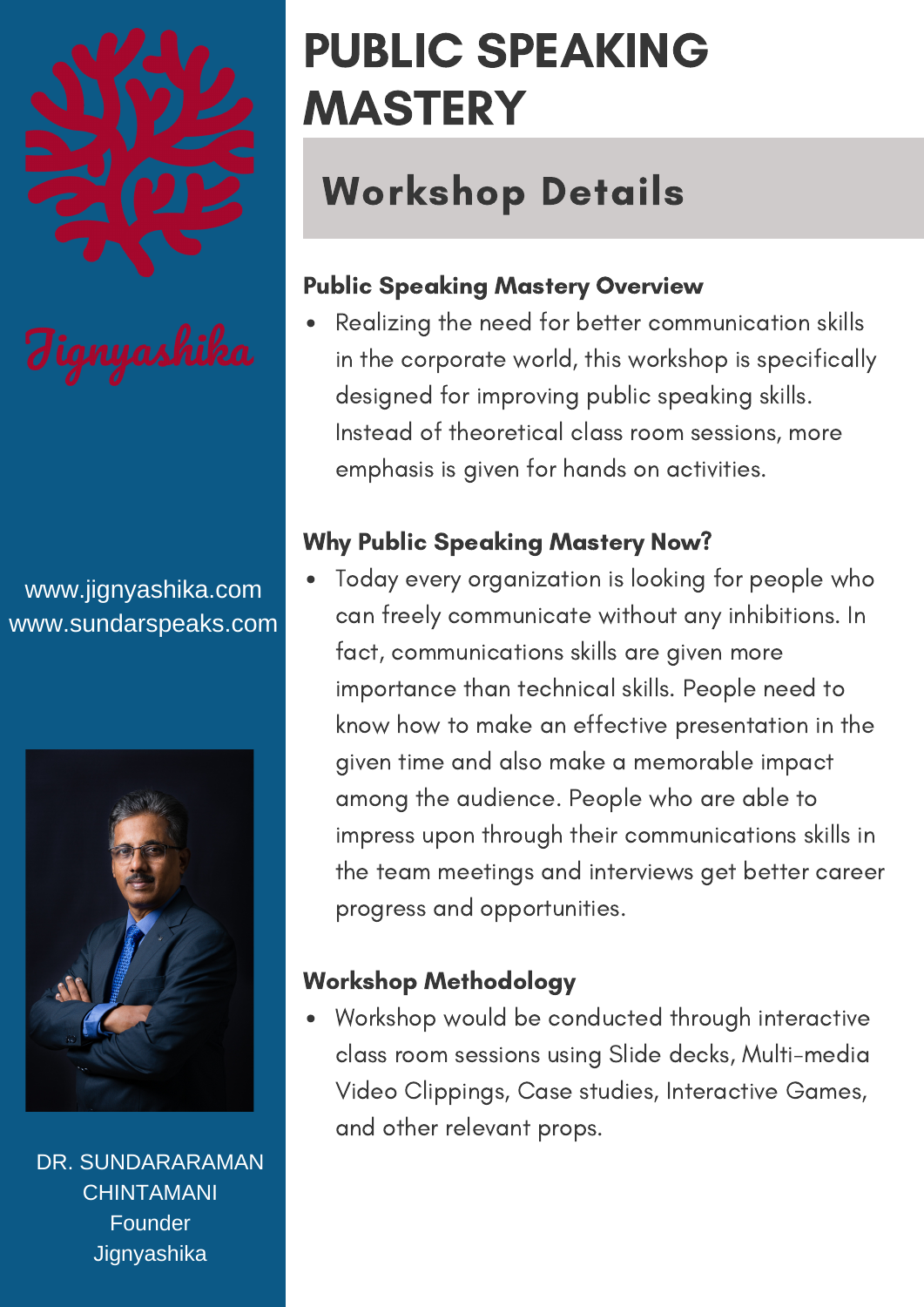

www.jignyashika.com www.sundarspeaks.com



DR. SUNDARARAMAN **CHINTAMANI** Founder **Jignyashika** 

# PUBLIC SPEAKING MASTERY

## Workshop Details

### Public Speaking Mastery Overview

Realizing the need for better communication skills in the corporate world, this workshop is specifically designed for improving public speaking skills. Instead of theoretical class room sessions, more emphasis is given for hands on activities.

### Why Public Speaking Mastery Now?

Today every organization is looking for people who can freely communicate without any inhibitions. In fact, communications skills are given more importance than technical skills. People need to know how to make an effective presentation in the given time and also make a memorable impact among the audience. People who are able to impress upon through their communications skills in the team meetings and interviews get better career progress and opportunities.

#### Workshop Methodology

Workshop would be conducted through interactive class room sessions using Slide decks, Multi-media Video Clippings, Case studies, Interactive Games, and other relevant props.